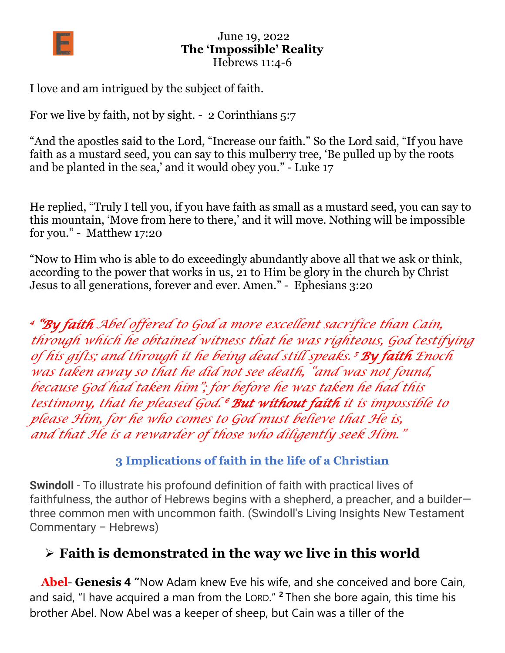

I love and am intrigued by the subject of faith.

For we live by faith, not by sight. - 2 Corinthians 5:7

"And the apostles said to the Lord, "Increase our faith." So the Lord said, "If you have faith as a mustard seed, you can say to this mulberry tree, 'Be pulled up by the roots and be planted in the sea,' and it would obey you." - Luke 17

He replied, "Truly I tell you, if you have faith as small as a mustard seed, you can say to this mountain, 'Move from here to there,' and it will move. Nothing will be impossible for you." - Matthew 17:20

"Now to Him who is able to do exceedingly abundantly above all that we ask or think, according to the power that works in us, 21 to Him be glory in the church by Christ Jesus to all generations, forever and ever. Amen." - Ephesians 3:20

*4 "By faith Abel offered to God a more excellent sacrifice than Cain, through which he obtained witness that he was righteous, God testifying of his gifts; and through it he being dead still speaks. <sup>5</sup>By faith Enoch was taken away so that he did not see death, "and was not found, because God had taken him"; for before he was taken he had this testimony, that he pleased God. <sup>6</sup>But without faith it is impossible to please Him, for he who comes to God must believe that He is, and that He is a rewarder of those who diligently seek Him."*

#### **3 Implications of faith in the life of a Christian**

**Swindoll** - To illustrate his profound definition of faith with practical lives of faithfulness, the author of Hebrews begins with a shepherd, a preacher, and a builder three common men with uncommon faith. (Swindoll's Living Insights New Testament Commentary – Hebrews)

### ➢ **Faith is demonstrated in the way we live in this world**

**Abel**- **Genesis 4 "**Now Adam knew Eve his wife, and she conceived and bore Cain, and said, "I have acquired a man from the LORD." **<sup>2</sup>** Then she bore again, this time his brother Abel. Now Abel was a keeper of sheep, but Cain was a tiller of the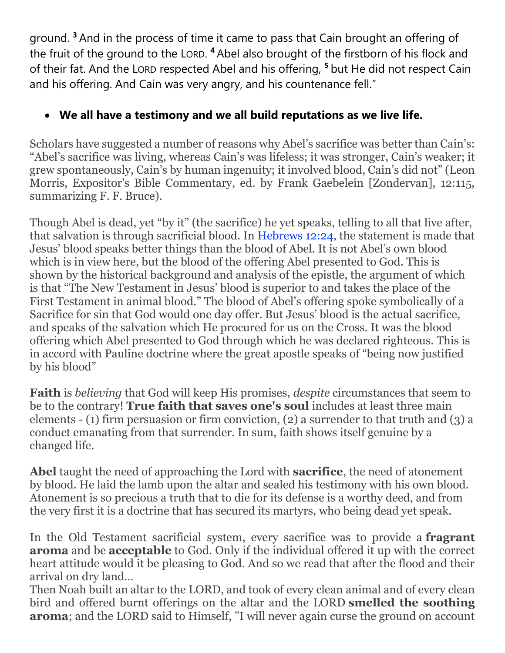ground. **<sup>3</sup>** And in the process of time it came to pass that Cain brought an offering of the fruit of the ground to the LORD. **<sup>4</sup>** Abel also brought of the firstborn of his flock and of their fat. And the LORD respected Abel and his offering, **<sup>5</sup>** but He did not respect Cain and his offering. And Cain was very angry, and his countenance fell."

#### • **We all have a testimony and we all build reputations as we live life.**

Scholars have suggested a number of reasons why Abel's sacrifice was better than Cain's: "Abel's sacrifice was living, whereas Cain's was lifeless; it was stronger, Cain's weaker; it grew spontaneously, Cain's by human ingenuity; it involved blood, Cain's did not" (Leon Morris, Expositor's Bible Commentary, ed. by Frank Gaebelein [Zondervan], 12:115, summarizing F. F. Bruce).

Though Abel is dead, yet "by it" (the sacrifice) he yet speaks, telling to all that live after, that salvation is through sacrificial blood. In [Hebrews](https://biblia.com/bible/nasb95/Heb%2012.24) 12:24, the statement is made that Jesus' blood speaks better things than the blood of Abel. It is not Abel's own blood which is in view here, but the blood of the offering Abel presented to God. This is shown by the historical background and analysis of the epistle, the argument of which is that "The New Testament in Jesus' blood is superior to and takes the place of the First Testament in animal blood." The blood of Abel's offering spoke symbolically of a Sacrifice for sin that God would one day offer. But Jesus' blood is the actual sacrifice, and speaks of the salvation which He procured for us on the Cross. It was the blood offering which Abel presented to God through which he was declared righteous. This is in accord with Pauline doctrine where the great apostle speaks of "being now justified by his blood"

**Faith** is *believing* that God will keep His promises, *despite* circumstances that seem to be to the contrary! **True faith that saves one's soul** includes at least three main elements - (1) firm persuasion or firm conviction, (2) a surrender to that truth and (3) a conduct emanating from that surrender. In sum, faith shows itself genuine by a changed life.

**Abel** taught the need of approaching the Lord with **sacrifice**, the need of atonement by blood. He laid the lamb upon the altar and sealed his testimony with his own blood. Atonement is so precious a truth that to die for its defense is a worthy deed, and from the very first it is a doctrine that has secured its martyrs, who being dead yet speak.

In the Old Testament sacrificial system, every sacrifice was to provide a **fragrant aroma** and be **acceptable** to God. Only if the individual offered it up with the correct heart attitude would it be pleasing to God. And so we read that after the flood and their arrival on dry land…

Then Noah built an altar to the LORD, and took of every clean animal and of every clean bird and offered burnt offerings on the altar and the LORD **smelled the soothing aroma**; and the LORD said to Himself, "I will never again curse the ground on account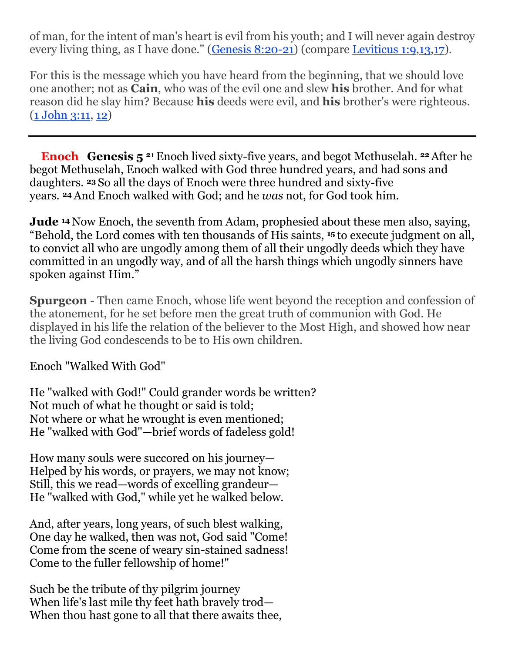of man, for the intent of man's heart is evil from his youth; and I will never again destroy every living thing, as I have done." [\(Genesis 8:20-21\)](https://biblia.com/bible/nasb95/Gen%208.20-21) (compare [Leviticus](https://biblia.com/bible/nasb95/Lev%201.9) 1:9[,13](https://biblia.com/bible/nasb95/Lev%201.13)[,17\)](https://biblia.com/bible/nasb95/Lev%201.17).

For this is the message which you have heard from the beginning, that we should love one another; not as **Cain**, who was of the evil one and slew **his** brother. And for what reason did he slay him? Because **his** deeds were evil, and **his** brother's were righteous. (1 [John 3:11,](https://biblia.com/bible/nasb95/1%20John%203.11) [12\)](https://biblia.com/bible/nasb95/1Jn%203.12)

**Enoch Genesis 5 <sup>21</sup>** Enoch lived sixty-five years, and begot Methuselah. **<sup>22</sup>**After he begot Methuselah, Enoch walked with God three hundred years, and had sons and daughters. **<sup>23</sup>** So all the days of Enoch were three hundred and sixty-five years. **<sup>24</sup>**And Enoch walked with God; and he *was* not, for God took him.

**Jude** <sup>14</sup> Now Enoch, the seventh from Adam, prophesied about these men also, saying, "Behold, the Lord comes with ten thousands of His saints, **<sup>15</sup>** to execute judgment on all, to convict all who are ungodly among them of all their ungodly deeds which they have committed in an ungodly way, and of all the harsh things which ungodly sinners have spoken against Him."

**Spurgeon** - Then came Enoch, whose life went beyond the reception and confession of the atonement, for he set before men the great truth of communion with God. He displayed in his life the relation of the believer to the Most High, and showed how near the living God condescends to be to His own children.

Enoch "Walked With God"

He "walked with God!" Could grander words be written? Not much of what he thought or said is told; Not where or what he wrought is even mentioned; He "walked with God"—brief words of fadeless gold!

How many souls were succored on his journey— Helped by his words, or prayers, we may not know; Still, this we read—words of excelling grandeur— He "walked with God," while yet he walked below.

And, after years, long years, of such blest walking, One day he walked, then was not, God said "Come! Come from the scene of weary sin-stained sadness! Come to the fuller fellowship of home!"

Such be the tribute of thy pilgrim journey When life's last mile thy feet hath bravely trod— When thou hast gone to all that there awaits thee,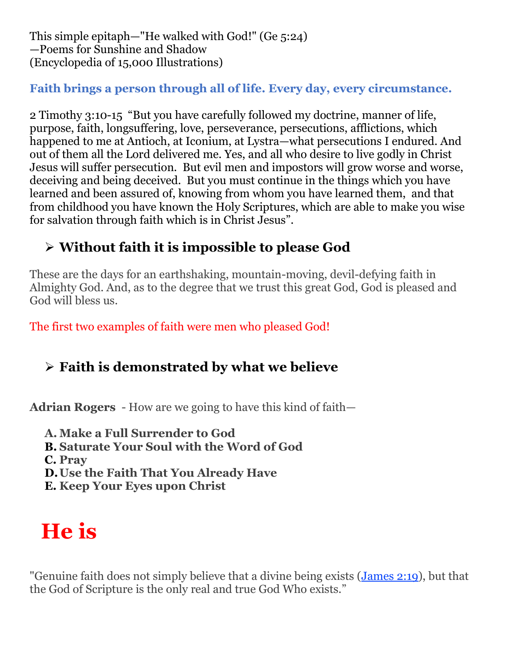This simple epitaph—"He walked with God!" (Ge 5:24) —Poems for Sunshine and Shadow (Encyclopedia of 15,000 Illustrations)

#### **Faith brings a person through all of life. Every day, every circumstance.**

2 Timothy 3:10-15 "But you have carefully followed my doctrine, manner of life, purpose, faith, longsuffering, love, perseverance, persecutions, afflictions, which happened to me at Antioch, at Iconium, at Lystra—what persecutions I endured. And out of them all the Lord delivered me. Yes, and all who desire to live godly in Christ Jesus will suffer persecution. But evil men and impostors will grow worse and worse, deceiving and being deceived. But you must continue in the things which you have learned and been assured of, knowing from whom you have learned them, and that from childhood you have known the Holy Scriptures, which are able to make you wise for salvation through faith which is in Christ Jesus".

# ➢ **Without faith it is impossible to please God**

These are the days for an earthshaking, mountain-moving, devil-defying faith in Almighty God. And, as to the degree that we trust this great God, God is pleased and God will bless us.

The first two examples of faith were men who pleased God!

# ➢ **Faith is demonstrated by what we believe**

**Adrian Rogers** - How are we going to have this kind of faith—

**A. Make a Full Surrender to God B. Saturate Your Soul with the Word of God C. Pray**

**D.Use the Faith That You Already Have**

**E. Keep Your Eyes upon Christ**

# **He is**

"Genuine faith does not simply believe that a divine being exists [\(James 2:19\)](https://biblia.com/bible/nasb95/James%202.19), but that the God of Scripture is the only real and true God Who exists."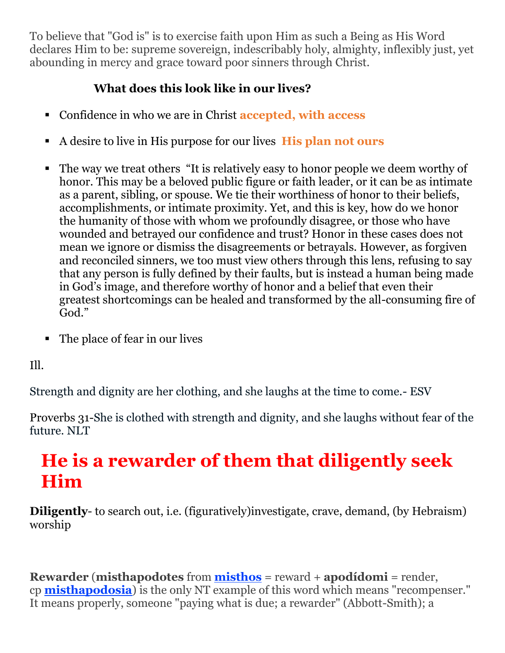To believe that "God is" is to exercise faith upon Him as such a Being as His Word declares Him to be: supreme sovereign, indescribably holy, almighty, inflexibly just, yet abounding in mercy and grace toward poor sinners through Christ.

#### **What does this look like in our lives?**

- Confidence in who we are in Christ **accepted, with access**
- A desire to live in His purpose for our lives **His plan not ours**
- The way we treat others "It is relatively easy to honor people we deem worthy of honor. This may be a beloved public figure or faith leader, or it can be as intimate as a parent, sibling, or spouse. We tie their worthiness of honor to their beliefs, accomplishments, or intimate proximity. Yet, and this is key, how do we honor the humanity of those with whom we profoundly disagree, or those who have wounded and betrayed our confidence and trust? Honor in these cases does not mean we ignore or dismiss the disagreements or betrayals. However, as forgiven and reconciled sinners, we too must view others through this lens, refusing to say that any person is fully defined by their faults, but is instead a human being made in God's image, and therefore worthy of honor and a belief that even their greatest shortcomings can be healed and transformed by the all-consuming fire of God."
- The place of fear in our lives

Ill.

Strength and dignity are her clothing, and she laughs at the time to come.- ESV

Proverbs 31-She is clothed with strength and dignity, and she laughs without fear of the future. NLT

# **He is a rewarder of them that diligently seek Him**

**Diligently**- to search out, i.e. (figuratively)investigate, crave, demand, (by Hebraism) worship

**Rewarder** (**misthapodotes** from **[misthos](https://www.preceptaustin.org/2_peter_215-16#wages)** = reward + **apodídomi** = render, cp **[misthapodosia](https://www.preceptaustin.org/hebrews_1123-26#re)**) is the only NT example of this word which means "recompenser." It means properly, someone "paying what is due; a rewarder" (Abbott-Smith); a